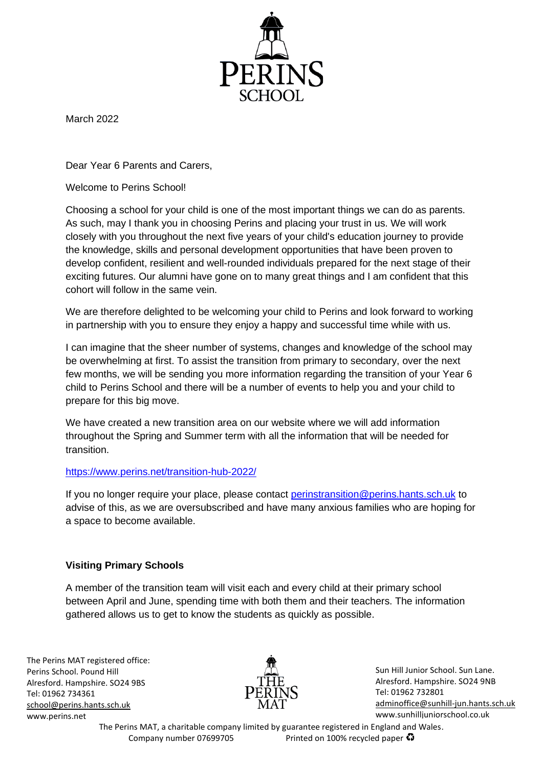

March 2022

Dear Year 6 Parents and Carers,

Welcome to Perins School!

Choosing a school for your child is one of the most important things we can do as parents. As such, may I thank you in choosing Perins and placing your trust in us. We will work closely with you throughout the next five years of your child's education journey to provide the knowledge, skills and personal development opportunities that have been proven to develop confident, resilient and well-rounded individuals prepared for the next stage of their exciting futures. Our alumni have gone on to many great things and I am confident that this cohort will follow in the same vein.

We are therefore delighted to be welcoming your child to Perins and look forward to working in partnership with you to ensure they enjoy a happy and successful time while with us.

I can imagine that the sheer number of systems, changes and knowledge of the school may be overwhelming at first. To assist the transition from primary to secondary, over the next few months, we will be sending you more information regarding the transition of your Year 6 child to Perins School and there will be a number of events to help you and your child to prepare for this big move.

We have created a new transition area on our website where we will add information throughout the Spring and Summer term with all the information that will be needed for transition.

# <https://www.perins.net/transition-hub-2022/>

If you no longer require your place, please contact [perinstransition@perins.hants.sch.uk](mailto:perinstransition@perins.hants.sch.uk) to advise of this, as we are oversubscribed and have many anxious families who are hoping for a space to become available.

# **Visiting Primary Schools**

A member of the transition team will visit each and every child at their primary school between April and June, spending time with both them and their teachers. The information gathered allows us to get to know the students as quickly as possible.

The Perins MAT registered office: Perins School. Pound Hill Alresford. Hampshire. SO24 9BS Tel: 01962 734361 [school@perins.hants.sch.uk](mailto:school@perins.hants.sch.uk) [www.perins.net](http://www.perins.net/)



Sun Hill Junior School. Sun Lane. Alresford. Hampshire. SO24 9NB [Tel: 01962](tel:01962) 732801 [adminoffice@sunhill-jun.hants.sch.uk](mailto:adminoffice@sunhill-jun.hants.sch.uk) www.sunhilljuniorschool.co.uk

The Perins MAT, a charitable company limited by guarantee registered in England and Wales. Company number 07699705 Printed on 100% recycled paper